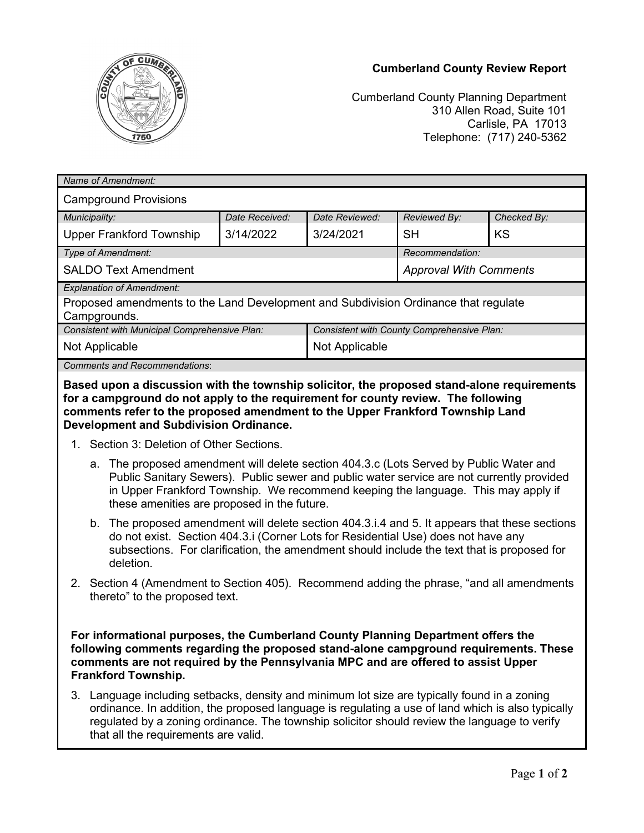



Cumberland County Planning Department 310 Allen Road, Suite 101 Carlisle, PA 17013 Telephone: (717) 240-5362

| Name of Amendment:                                                                                                                                                                                                                                                                                                                                                                          |                |                                            |                               |             |
|---------------------------------------------------------------------------------------------------------------------------------------------------------------------------------------------------------------------------------------------------------------------------------------------------------------------------------------------------------------------------------------------|----------------|--------------------------------------------|-------------------------------|-------------|
| <b>Campground Provisions</b>                                                                                                                                                                                                                                                                                                                                                                |                |                                            |                               |             |
| Municipality:                                                                                                                                                                                                                                                                                                                                                                               | Date Received: | Date Reviewed:                             | Reviewed By:                  | Checked By: |
| <b>Upper Frankford Township</b>                                                                                                                                                                                                                                                                                                                                                             | 3/14/2022      | 3/24/2021                                  | <b>SH</b>                     | <b>KS</b>   |
| Type of Amendment:                                                                                                                                                                                                                                                                                                                                                                          |                |                                            | Recommendation:               |             |
| <b>SALDO Text Amendment</b>                                                                                                                                                                                                                                                                                                                                                                 |                |                                            | <b>Approval With Comments</b> |             |
| <b>Explanation of Amendment:</b><br>Proposed amendments to the Land Development and Subdivision Ordinance that regulate<br>Campgrounds.                                                                                                                                                                                                                                                     |                |                                            |                               |             |
| Consistent with Municipal Comprehensive Plan:                                                                                                                                                                                                                                                                                                                                               |                | Consistent with County Comprehensive Plan: |                               |             |
| Not Applicable                                                                                                                                                                                                                                                                                                                                                                              |                | Not Applicable                             |                               |             |
| <b>Comments and Recommendations:</b>                                                                                                                                                                                                                                                                                                                                                        |                |                                            |                               |             |
| for a campground do not apply to the requirement for county review. The following<br>comments refer to the proposed amendment to the Upper Frankford Township Land<br><b>Development and Subdivision Ordinance.</b><br>1. Section 3: Deletion of Other Sections.                                                                                                                            |                |                                            |                               |             |
| a. The proposed amendment will delete section 404.3.c (Lots Served by Public Water and<br>Public Sanitary Sewers). Public sewer and public water service are not currently provided<br>in Upper Frankford Township. We recommend keeping the language. This may apply if<br>these amenities are proposed in the future.                                                                     |                |                                            |                               |             |
| b. The proposed amendment will delete section 404.3.i.4 and 5. It appears that these sections<br>do not exist. Section 404.3.i (Corner Lots for Residential Use) does not have any<br>subsections. For clarification, the amendment should include the text that is proposed for<br>deletion.                                                                                               |                |                                            |                               |             |
| 2. Section 4 (Amendment to Section 405). Recommend adding the phrase, "and all amendments<br>thereto" to the proposed text.                                                                                                                                                                                                                                                                 |                |                                            |                               |             |
| For informational purposes, the Cumberland County Planning Department offers the<br>following comments regarding the proposed stand-alone campground requirements. These<br>comments are not required by the Pennsylvania MPC and are offered to assist Upper<br><b>Frankford Township.</b><br>3. Language including setbacks, density and minimum lot size are typically found in a zoning |                |                                            |                               |             |
| ordinance. In addition, the proposed language is regulating a use of land which is also typically<br>regulated by a zoning ordinance. The township solicitor should review the language to verify<br>that all the requirements are valid.                                                                                                                                                   |                |                                            |                               |             |